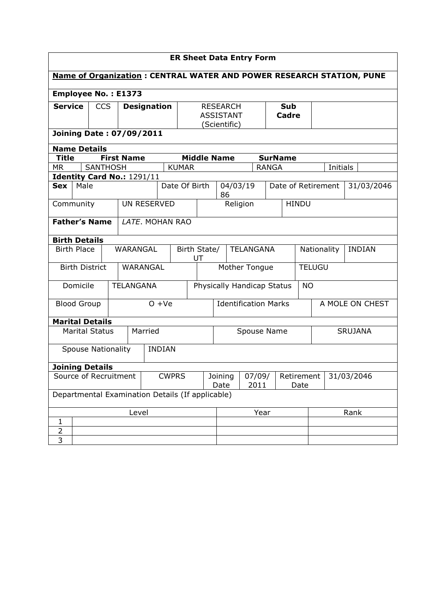| <b>ER Sheet Data Entry Form</b>                                             |                                 |                                  |  |                                       |          |                                                     |  |                             |                                                         |              |          |                 |                              |              |                    |            |
|-----------------------------------------------------------------------------|---------------------------------|----------------------------------|--|---------------------------------------|----------|-----------------------------------------------------|--|-----------------------------|---------------------------------------------------------|--------------|----------|-----------------|------------------------------|--------------|--------------------|------------|
| <b>Name of Organization: CENTRAL WATER AND POWER RESEARCH STATION, PUNE</b> |                                 |                                  |  |                                       |          |                                                     |  |                             |                                                         |              |          |                 |                              |              |                    |            |
| <b>Employee No.: E1373</b>                                                  |                                 |                                  |  |                                       |          |                                                     |  |                             |                                                         |              |          |                 |                              |              |                    |            |
| <b>Service</b>                                                              |                                 | <b>CCS</b><br><b>Designation</b> |  |                                       |          | <b>RESEARCH</b><br><b>ASSISTANT</b><br>(Scientific) |  |                             |                                                         | Sub<br>Cadre |          |                 |                              |              |                    |            |
|                                                                             | <b>Joining Date: 07/09/2011</b> |                                  |  |                                       |          |                                                     |  |                             |                                                         |              |          |                 |                              |              |                    |            |
| <b>Name Details</b>                                                         |                                 |                                  |  |                                       |          |                                                     |  |                             |                                                         |              |          |                 |                              |              |                    |            |
| <b>Title</b>                                                                |                                 |                                  |  | <b>First Name</b>                     |          |                                                     |  | <b>Middle Name</b>          |                                                         |              |          | <b>SurName</b>  |                              |              |                    |            |
| <b>MR</b>                                                                   |                                 | <b>SANTHOSH</b>                  |  |                                       |          | <b>KUMAR</b>                                        |  |                             |                                                         |              |          | <b>RANGA</b>    |                              |              |                    | Initials   |
|                                                                             |                                 |                                  |  | Identity Card No.: 1291/11            |          |                                                     |  |                             |                                                         |              |          |                 |                              |              |                    |            |
| <b>Sex</b>                                                                  | Male                            |                                  |  |                                       |          | Date Of Birth                                       |  |                             | 86                                                      |              | 04/03/19 |                 |                              |              | Date of Retirement | 31/03/2046 |
| Community                                                                   |                                 |                                  |  | UN RESERVED                           |          |                                                     |  |                             |                                                         |              | Religion |                 |                              | <b>HINDU</b> |                    |            |
| <b>Father's Name</b>                                                        |                                 |                                  |  | LATE. MOHAN RAO                       |          |                                                     |  |                             |                                                         |              |          |                 |                              |              |                    |            |
| <b>Birth Details</b>                                                        |                                 |                                  |  |                                       |          |                                                     |  |                             |                                                         |              |          |                 |                              |              |                    |            |
|                                                                             | <b>Birth Place</b>              |                                  |  | <b>WARANGAL</b><br>Birth State/<br>UT |          |                                                     |  | <b>TELANGANA</b>            |                                                         |              |          |                 | <b>INDIAN</b><br>Nationality |              |                    |            |
|                                                                             | <b>Birth District</b>           |                                  |  |                                       | WARANGAL |                                                     |  |                             | Mother Tongue                                           |              |          |                 | <b>TELUGU</b>                |              |                    |            |
|                                                                             | Domicile                        |                                  |  | <b>TELANGANA</b>                      |          |                                                     |  |                             | Physically Handicap Status                              |              |          | <b>NO</b>       |                              |              |                    |            |
|                                                                             | <b>Blood Group</b>              |                                  |  | $O + Ve$                              |          |                                                     |  | <b>Identification Marks</b> |                                                         |              |          | A MOLE ON CHEST |                              |              |                    |            |
| <b>Marital Details</b>                                                      |                                 |                                  |  |                                       |          |                                                     |  |                             |                                                         |              |          |                 |                              |              |                    |            |
| <b>Marital Status</b>                                                       |                                 |                                  |  | Married                               |          |                                                     |  | Spouse Name                 |                                                         |              |          | <b>SRUJANA</b>  |                              |              |                    |            |
| <b>Spouse Nationality</b>                                                   |                                 |                                  |  |                                       |          | <b>INDIAN</b>                                       |  |                             |                                                         |              |          |                 |                              |              |                    |            |
| <b>Joining Details</b>                                                      |                                 |                                  |  |                                       |          |                                                     |  |                             |                                                         |              |          |                 |                              |              |                    |            |
| Source of Recruitment                                                       |                                 |                                  |  | <b>CWPRS</b>                          |          |                                                     |  |                             | Joining<br>07/09/<br>Retirement<br>2011<br>Date<br>Date |              |          |                 | 31/03/2046                   |              |                    |            |
| Departmental Examination Details (If applicable)                            |                                 |                                  |  |                                       |          |                                                     |  |                             |                                                         |              |          |                 |                              |              |                    |            |
|                                                                             |                                 |                                  |  | Level                                 |          |                                                     |  |                             |                                                         | Year         |          |                 |                              |              | Rank               |            |
| 1                                                                           |                                 |                                  |  |                                       |          |                                                     |  |                             |                                                         |              |          |                 |                              |              |                    |            |
| $\overline{2}$                                                              |                                 |                                  |  |                                       |          |                                                     |  |                             |                                                         |              |          |                 |                              |              |                    |            |
| 3                                                                           |                                 |                                  |  |                                       |          |                                                     |  |                             |                                                         |              |          |                 |                              |              |                    |            |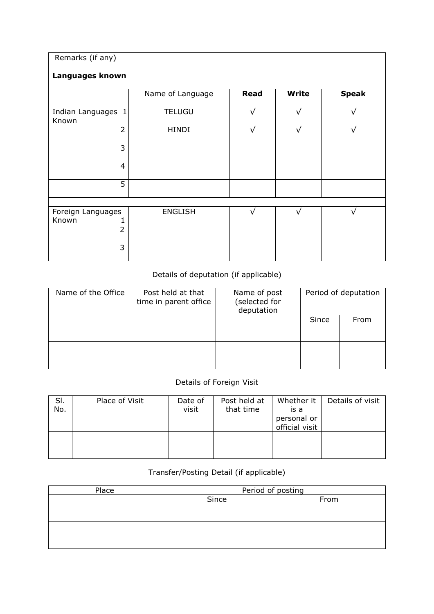| Remarks (if any)            |                  |             |              |              |
|-----------------------------|------------------|-------------|--------------|--------------|
| Languages known             |                  |             |              |              |
|                             | Name of Language | <b>Read</b> | <b>Write</b> | <b>Speak</b> |
| Indian Languages 1<br>Known | <b>TELUGU</b>    | $\sqrt{ }$  | $\sqrt{}$    | $\sqrt{}$    |
| $\overline{2}$              | <b>HINDI</b>     | $\sqrt{}$   | $\sqrt{}$    | $\sqrt{}$    |
| 3                           |                  |             |              |              |
| $\overline{4}$              |                  |             |              |              |
| $\overline{5}$              |                  |             |              |              |
|                             |                  |             |              |              |
| Foreign Languages<br>Known  | <b>ENGLISH</b>   |             |              |              |
| $\overline{2}$              |                  |             |              |              |
| 3                           |                  |             |              |              |

## Details of deputation (if applicable)

| Name of the Office | Post held at that<br>time in parent office | Name of post<br>(selected for<br>deputation |       | Period of deputation |
|--------------------|--------------------------------------------|---------------------------------------------|-------|----------------------|
|                    |                                            |                                             | Since | From                 |
|                    |                                            |                                             |       |                      |

## Details of Foreign Visit

| SI.<br>No. | Place of Visit | Date of<br>visit | Post held at<br>that time | Whether it  <br>is a<br>personal or<br>official visit | Details of visit |
|------------|----------------|------------------|---------------------------|-------------------------------------------------------|------------------|
|            |                |                  |                           |                                                       |                  |

## Transfer/Posting Detail (if applicable)

| Place | Period of posting |      |  |  |  |  |  |
|-------|-------------------|------|--|--|--|--|--|
|       | Since             | From |  |  |  |  |  |
|       |                   |      |  |  |  |  |  |
|       |                   |      |  |  |  |  |  |
|       |                   |      |  |  |  |  |  |
|       |                   |      |  |  |  |  |  |
|       |                   |      |  |  |  |  |  |